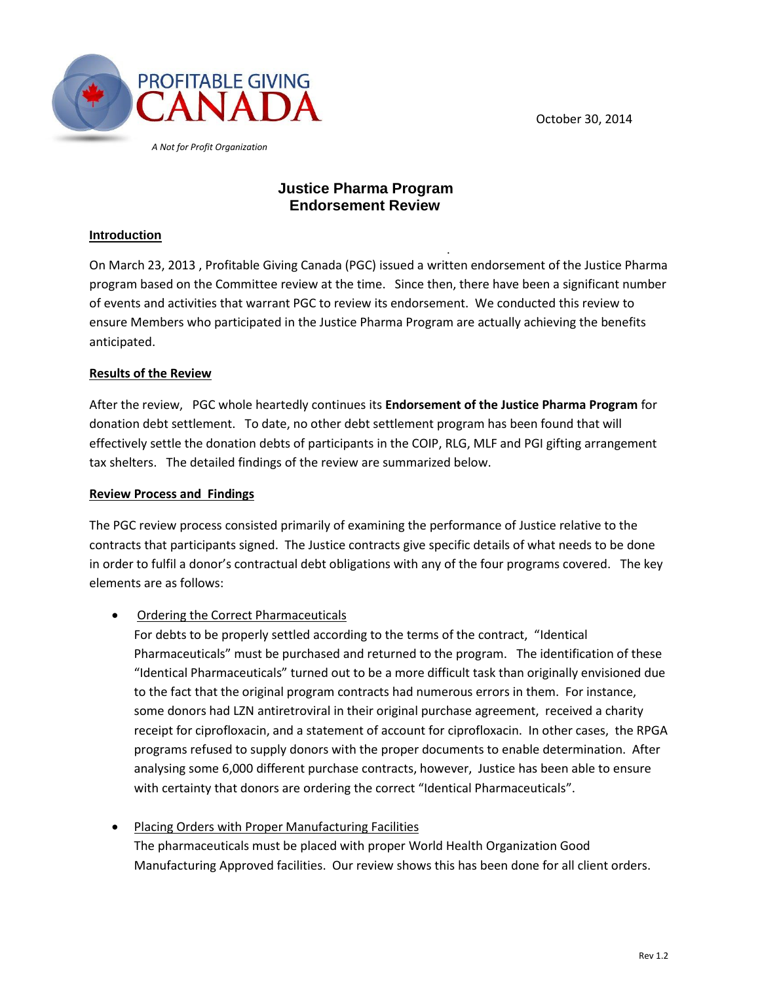October 30, 2014



 *A Not for Profit Organization*

# **Justice Pharma Program Endorsement Review**

#### **Introduction**

. On March 23, 2013 , Profitable Giving Canada (PGC) issued a written endorsement of the Justice Pharma program based on the Committee review at the time. Since then, there have been a significant number of events and activities that warrant PGC to review its endorsement. We conducted this review to ensure Members who participated in the Justice Pharma Program are actually achieving the benefits anticipated.

#### **Results of the Review**

After the review, PGC whole heartedly continues its **Endorsement of the Justice Pharma Program** for donation debt settlement. To date, no other debt settlement program has been found that will effectively settle the donation debts of participants in the COIP, RLG, MLF and PGI gifting arrangement tax shelters. The detailed findings of the review are summarized below.

#### **Review Process and Findings**

The PGC review process consisted primarily of examining the performance of Justice relative to the contracts that participants signed. The Justice contracts give specific details of what needs to be done in order to fulfil a donor's contractual debt obligations with any of the four programs covered. The key elements are as follows:

• Ordering the Correct Pharmaceuticals

For debts to be properly settled according to the terms of the contract, "Identical Pharmaceuticals" must be purchased and returned to the program. The identification of these "Identical Pharmaceuticals" turned out to be a more difficult task than originally envisioned due to the fact that the original program contracts had numerous errors in them. For instance, some donors had LZN antiretroviral in their original purchase agreement, received a charity receipt for ciprofloxacin, and a statement of account for ciprofloxacin. In other cases, the RPGA programs refused to supply donors with the proper documents to enable determination. After analysing some 6,000 different purchase contracts, however, Justice has been able to ensure with certainty that donors are ordering the correct "Identical Pharmaceuticals".

 Placing Orders with Proper Manufacturing Facilities The pharmaceuticals must be placed with proper World Health Organization Good Manufacturing Approved facilities. Our review shows this has been done for all client orders.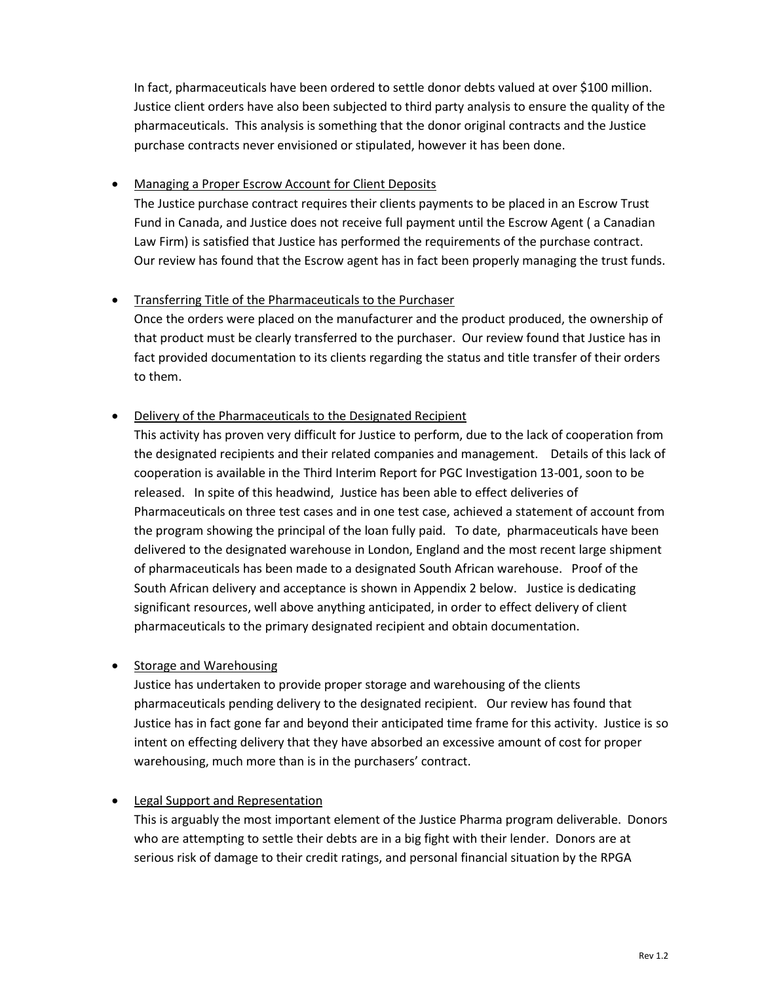In fact, pharmaceuticals have been ordered to settle donor debts valued at over \$100 million. Justice client orders have also been subjected to third party analysis to ensure the quality of the pharmaceuticals. This analysis is something that the donor original contracts and the Justice purchase contracts never envisioned or stipulated, however it has been done.

#### Managing a Proper Escrow Account for Client Deposits

The Justice purchase contract requires their clients payments to be placed in an Escrow Trust Fund in Canada, and Justice does not receive full payment until the Escrow Agent ( a Canadian Law Firm) is satisfied that Justice has performed the requirements of the purchase contract. Our review has found that the Escrow agent has in fact been properly managing the trust funds.

### • Transferring Title of the Pharmaceuticals to the Purchaser

Once the orders were placed on the manufacturer and the product produced, the ownership of that product must be clearly transferred to the purchaser. Our review found that Justice has in fact provided documentation to its clients regarding the status and title transfer of their orders to them.

#### Delivery of the Pharmaceuticals to the Designated Recipient

This activity has proven very difficult for Justice to perform, due to the lack of cooperation from the designated recipients and their related companies and management. Details of this lack of cooperation is available in the Third Interim Report for PGC Investigation 13-001, soon to be released. In spite of this headwind, Justice has been able to effect deliveries of Pharmaceuticals on three test cases and in one test case, achieved a statement of account from the program showing the principal of the loan fully paid. To date, pharmaceuticals have been delivered to the designated warehouse in London, England and the most recent large shipment of pharmaceuticals has been made to a designated South African warehouse. Proof of the South African delivery and acceptance is shown in Appendix 2 below. Justice is dedicating significant resources, well above anything anticipated, in order to effect delivery of client pharmaceuticals to the primary designated recipient and obtain documentation.

#### • Storage and Warehousing

Justice has undertaken to provide proper storage and warehousing of the clients pharmaceuticals pending delivery to the designated recipient. Our review has found that Justice has in fact gone far and beyond their anticipated time frame for this activity. Justice is so intent on effecting delivery that they have absorbed an excessive amount of cost for proper warehousing, much more than is in the purchasers' contract.

#### Legal Support and Representation

This is arguably the most important element of the Justice Pharma program deliverable. Donors who are attempting to settle their debts are in a big fight with their lender. Donors are at serious risk of damage to their credit ratings, and personal financial situation by the RPGA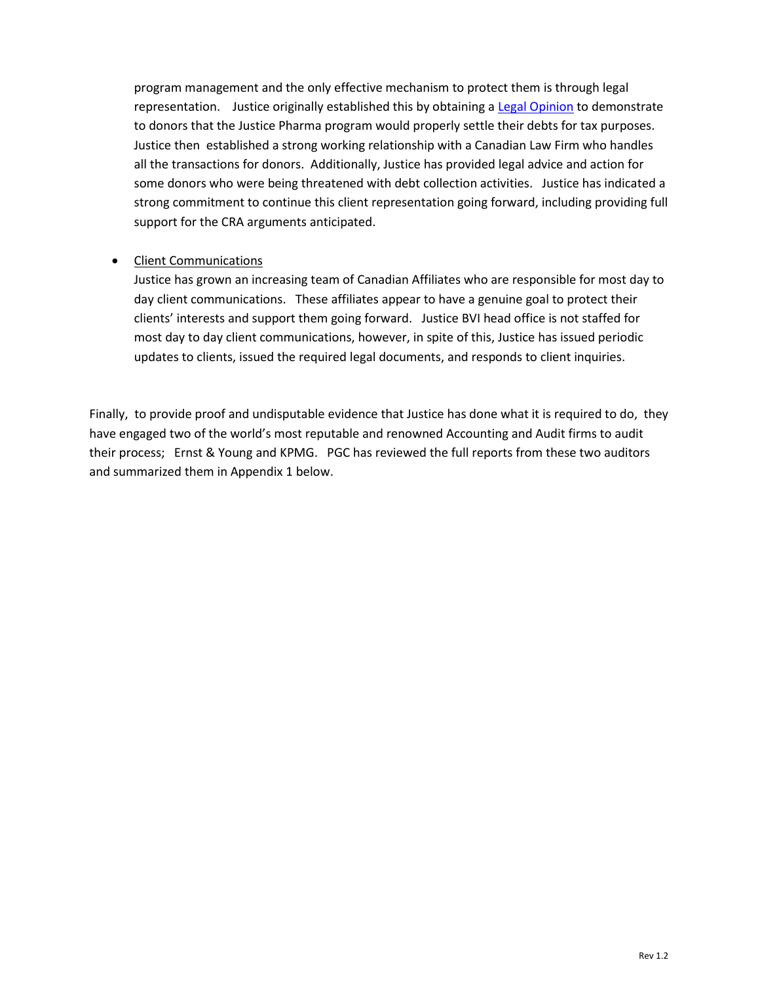program management and the only effective mechanism to protect them is through legal representation. Justice originally established this by obtaining a [Legal Opinion](http://profitablegiving.ca/node/168) to demonstrate to donors that the Justice Pharma program would properly settle their debts for tax purposes. Justice then established a strong working relationship with a Canadian Law Firm who handles all the transactions for donors. Additionally, Justice has provided legal advice and action for some donors who were being threatened with debt collection activities. Justice has indicated a strong commitment to continue this client representation going forward, including providing full support for the CRA arguments anticipated.

#### • Client Communications

Justice has grown an increasing team of Canadian Affiliates who are responsible for most day to day client communications. These affiliates appear to have a genuine goal to protect their clients' interests and support them going forward. Justice BVI head office is not staffed for most day to day client communications, however, in spite of this, Justice has issued periodic updates to clients, issued the required legal documents, and responds to client inquiries.

Finally, to provide proof and undisputable evidence that Justice has done what it is required to do, they have engaged two of the world's most reputable and renowned Accounting and Audit firms to audit their process; Ernst & Young and KPMG. PGC has reviewed the full reports from these two auditors and summarized them in Appendix 1 below.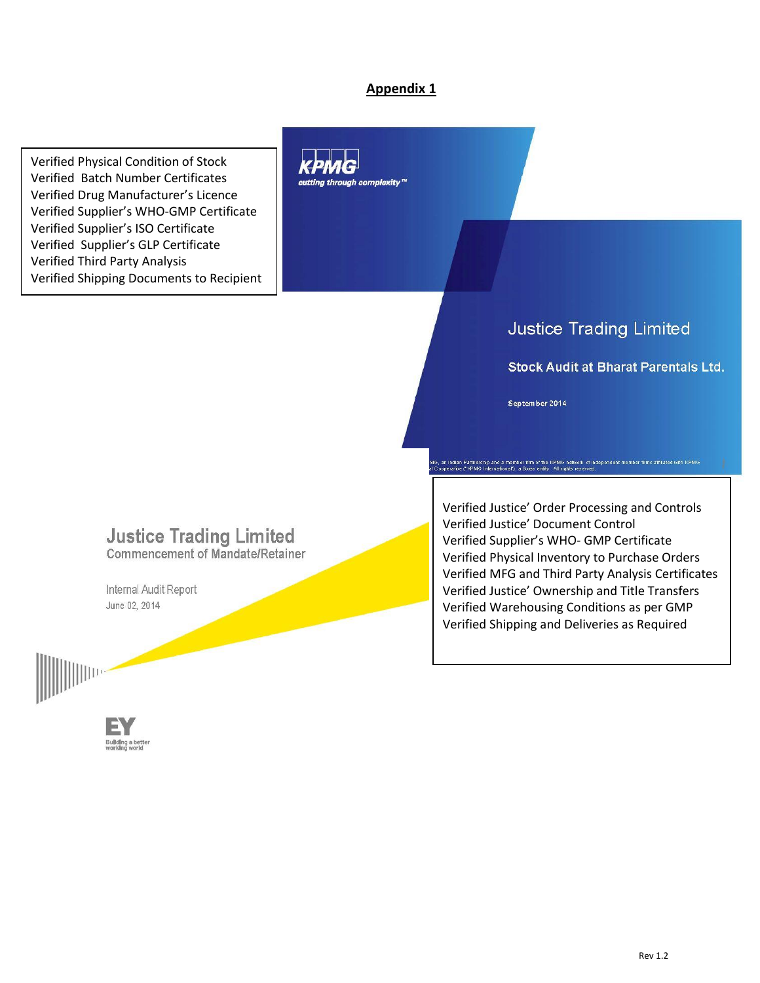# **Appendix 1**

Verified Physical Condition of Stock Verified Batch Number Certificates Verified Drug Manufacturer's Licence Verified Supplier's WHO-GMP Certificate Verified Supplier's ISO Certificate Verified Supplier's GLP Certificate Verified Third Party Analysis Verified Shipping Documents to Recipient



# **Justice Trading Limited**

#### **Stock Audit at Bharat Parentals Ltd.**

September 2014

.<br>6. an Indian Partnership and a member firm of the KPMG ne<br>3. coperative ("KPMG International"), a Swiss entity. All right

# **Justice Trading Limited**

**Commencement of Mandate/Retainer** 

Internal Audit Report June 02, 2014



illding a bette<br>vking world

Verified Justice' Order Processing and Controls Verified Justice' Document Control Verified Supplier's WHO- GMP Certificate Verified Physical Inventory to Purchase Orders Verified MFG and Third Party Analysis Certificates Verified Justice' Ownership and Title Transfers Verified Warehousing Conditions as per GMP Verified Shipping and Deliveries as Required